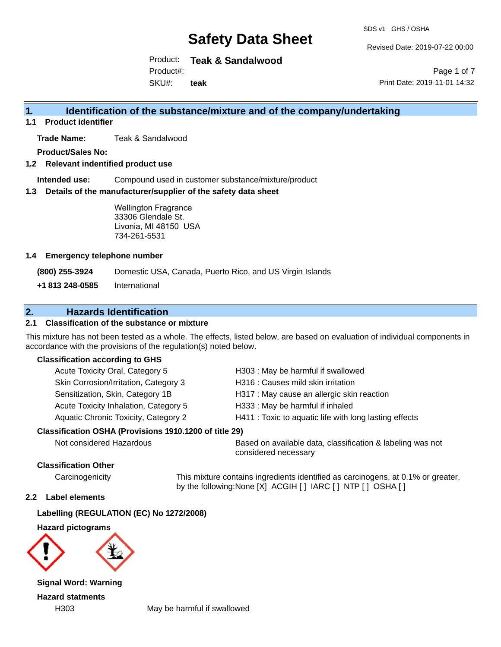Revised Date: 2019-07-22 00:00

Product: **Teak & Sandalwood** SKU#: Product#: **teak**

Page 1 of 7 Print Date: 2019-11-01 14:32

### **1. Identification of the substance/mixture and of the company/undertaking**

**1.1 Product identifier**

**Trade Name:** Teak & Sandalwood

**Product/Sales No:**

**1.2 Relevant indentified product use**

**Intended use:** Compound used in customer substance/mixture/product

**1.3 Details of the manufacturer/supplier of the safety data sheet**

Wellington Fragrance 33306 Glendale St. Livonia, MI 48150 USA 734-261-5531

#### **1.4 Emergency telephone number**

**(800) 255-3924** Domestic USA, Canada, Puerto Rico, and US Virgin Islands

**+1 813 248-0585** International

### **2. Hazards Identification**

#### **2.1 Classification of the substance or mixture**

This mixture has not been tested as a whole. The effects, listed below, are based on evaluation of individual components in accordance with the provisions of the regulation(s) noted below.

#### **Classification according to GHS**

| Acute Toxicity Oral, Category 5                        | H303: May be harmful if swallowed                      |
|--------------------------------------------------------|--------------------------------------------------------|
| Skin Corrosion/Irritation, Category 3                  | H316 : Causes mild skin irritation                     |
| Sensitization, Skin, Category 1B                       | H317 : May cause an allergic skin reaction             |
| Acute Toxicity Inhalation, Category 5                  | H333: May be harmful if inhaled                        |
| Aquatic Chronic Toxicity, Category 2                   | H411 : Toxic to aquatic life with long lasting effects |
| Classification OSHA (Provisions 1910.1200 of title 29) |                                                        |

Not considered Hazardous Based on available data, classification & labeling was not considered necessary

#### **Classification Other**

Carcinogenicity This mixture contains ingredients identified as carcinogens, at 0.1% or greater, by the following:None [X] ACGIH [ ] IARC [ ] NTP [ ] OSHA [ ]

#### **2.2 Label elements**

#### **Labelling (REGULATION (EC) No 1272/2008)**

**Hazard pictograms**



**Signal Word: Warning Hazard statments**

H303 May be harmful if swallowed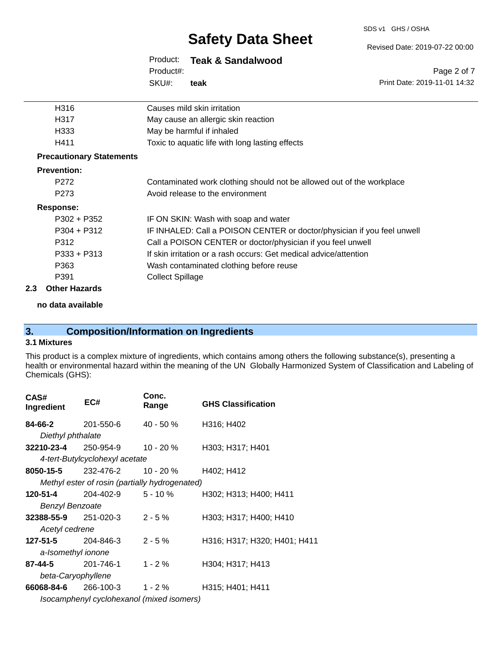#### SDS v1 GHS / OSHA

# **Safety Data Sheet**

#### Revised Date: 2019-07-22 00:00

Print Date: 2019-11-01 14:32

Page 2 of 7

### Product: **Teak & Sandalwood**

SKU#: Product#: **teak**

| H316                            | Causes mild skin irritation                                             |
|---------------------------------|-------------------------------------------------------------------------|
| H317                            | May cause an allergic skin reaction                                     |
| H333                            | May be harmful if inhaled                                               |
| H411                            | Toxic to aquatic life with long lasting effects                         |
| <b>Precautionary Statements</b> |                                                                         |
| <b>Prevention:</b>              |                                                                         |
| P <sub>272</sub>                | Contaminated work clothing should not be allowed out of the workplace   |
| P <sub>273</sub>                | Avoid release to the environment                                        |
| <b>Response:</b>                |                                                                         |
| $P302 + P352$                   | IF ON SKIN: Wash with soap and water                                    |
| $P304 + P312$                   | IF INHALED: Call a POISON CENTER or doctor/physician if you feel unwell |
| P312                            | Call a POISON CENTER or doctor/physician if you feel unwell             |
| $P333 + P313$                   | If skin irritation or a rash occurs: Get medical advice/attention       |
| P363                            | Wash contaminated clothing before reuse                                 |
| P391                            | <b>Collect Spillage</b>                                                 |
|                                 |                                                                         |

#### **2.3 Other Hazards**

**no data available**

# **3. Composition/Information on Ingredients**

#### **3.1 Mixtures**

This product is a complex mixture of ingredients, which contains among others the following substance(s), presenting a health or environmental hazard within the meaning of the UN Globally Harmonized System of Classification and Labeling of Chemicals (GHS):

| CAS#<br>Ingredient          | EC#                                            | Conc.<br>Range | <b>GHS Classification</b>    |
|-----------------------------|------------------------------------------------|----------------|------------------------------|
| 84-66-2                     | 201-550-6                                      | $40 - 50 \%$   | H316; H402                   |
| Diethyl phthalate           |                                                |                |                              |
| 32210-23-4                  | 250-954-9                                      | $10 - 20 \%$   | H303; H317; H401             |
|                             | 4-tert-Butylcyclohexyl acetate                 |                |                              |
| 8050-15-5                   | 232-476-2                                      | 10 - 20 %      | H402; H412                   |
|                             | Methyl ester of rosin (partially hydrogenated) |                |                              |
| 120-51-4                    | 204-402-9                                      | 5-10 %         | H302; H313; H400; H411       |
| <b>Benzyl Benzoate</b>      |                                                |                |                              |
| 32388-55-9                  | 251-020-3                                      | $2 - 5%$       | H303; H317; H400; H410       |
| Acetyl cedrene              |                                                |                |                              |
| 127-51-5                    | 204-846-3                                      | $2 - 5%$       | H316; H317; H320; H401; H411 |
| a-Isomethyl ionone          |                                                |                |                              |
| 87-44-5                     | 201-746-1                                      | $1 - 2%$       | H304; H317; H413             |
| beta-Caryophyllene          |                                                |                |                              |
| <b>66068-84-6</b> 266-100-3 |                                                | $1 - 2 \%$     | H315; H401; H411             |
|                             | Isocamphenyl cyclohexanol (mixed isomers)      |                |                              |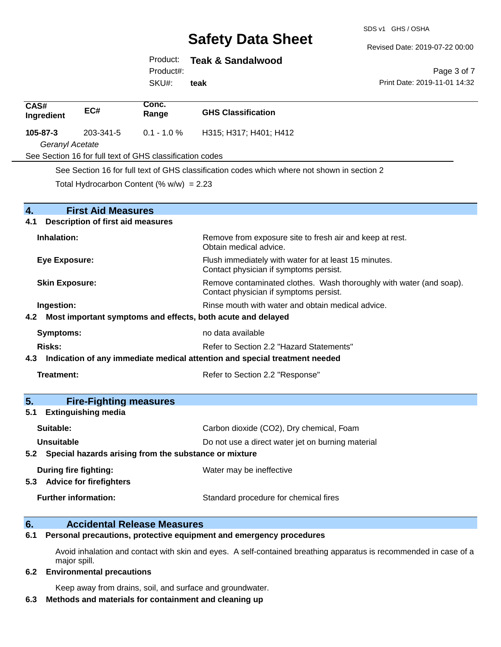SDS v1 GHS / OSHA

Revised Date: 2019-07-22 00:00

Print Date: 2019-11-01 14:32

Page 3 of 7

#### Product: **Teak & Sandalwood**

Product#:

SKU#: **teak**

| CAS#<br>Ingredient           | EC#                                      | Conc.<br>Range                                            | <b>GHS Classification</b>                                                                                     |
|------------------------------|------------------------------------------|-----------------------------------------------------------|---------------------------------------------------------------------------------------------------------------|
| 105-87-3                     | 203-341-5                                | $0.1 - 1.0 %$                                             | H315; H317; H401; H412                                                                                        |
| Geranyl Acetate              |                                          |                                                           |                                                                                                               |
|                              |                                          | See Section 16 for full text of GHS classification codes  |                                                                                                               |
|                              |                                          |                                                           | See Section 16 for full text of GHS classification codes which where not shown in section 2                   |
|                              |                                          | Total Hydrocarbon Content (% $w/w$ ) = 2.23               |                                                                                                               |
| 4.                           | <b>First Aid Measures</b>                |                                                           |                                                                                                               |
| 4.1                          | <b>Description of first aid measures</b> |                                                           |                                                                                                               |
| Inhalation:                  |                                          |                                                           | Remove from exposure site to fresh air and keep at rest.<br>Obtain medical advice.                            |
| <b>Eye Exposure:</b>         |                                          |                                                           | Flush immediately with water for at least 15 minutes.<br>Contact physician if symptoms persist.               |
| <b>Skin Exposure:</b>        |                                          |                                                           | Remove contaminated clothes. Wash thoroughly with water (and soap).<br>Contact physician if symptoms persist. |
| Ingestion:                   |                                          |                                                           | Rinse mouth with water and obtain medical advice.                                                             |
|                              |                                          |                                                           | 4.2 Most important symptoms and effects, both acute and delayed                                               |
| <b>Symptoms:</b>             |                                          |                                                           | no data available                                                                                             |
| <b>Risks:</b>                |                                          |                                                           | Refer to Section 2.2 "Hazard Statements"                                                                      |
|                              |                                          |                                                           | 4.3 Indication of any immediate medical attention and special treatment needed                                |
| Treatment:                   |                                          |                                                           | Refer to Section 2.2 "Response"                                                                               |
| 5.                           | <b>Fire-Fighting measures</b>            |                                                           |                                                                                                               |
| 5.1                          | <b>Extinguishing media</b>               |                                                           |                                                                                                               |
| Suitable:                    |                                          |                                                           | Carbon dioxide (CO2), Dry chemical, Foam                                                                      |
| Unsuitable                   |                                          |                                                           | Do not use a direct water jet on burning material                                                             |
|                              |                                          | 5.2 Special hazards arising from the substance or mixture |                                                                                                               |
| <b>During fire fighting:</b> |                                          |                                                           | Water may be ineffective                                                                                      |
|                              | 5.3 Advice for firefighters              |                                                           |                                                                                                               |
|                              | <b>Further information:</b>              |                                                           | Standard procedure for chemical fires                                                                         |

### **6. Accidental Release Measures**

**6.1 Personal precautions, protective equipment and emergency procedures**

Avoid inhalation and contact with skin and eyes. A self-contained breathing apparatus is recommended in case of a major spill.

#### **6.2 Environmental precautions**

Keep away from drains, soil, and surface and groundwater.

#### **6.3 Methods and materials for containment and cleaning up**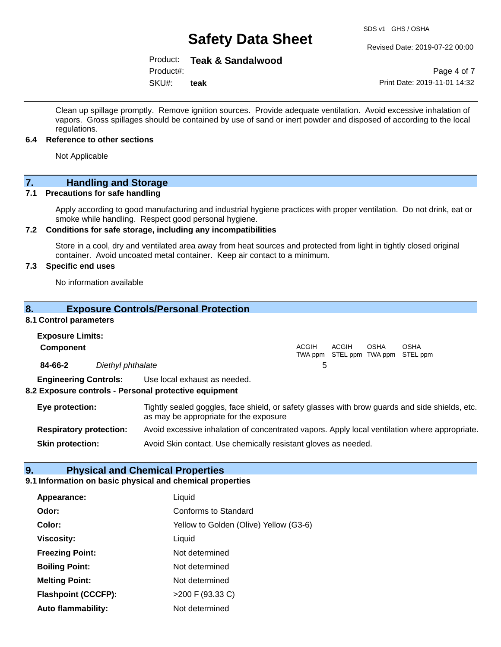Revised Date: 2019-07-22 00:00

### Product: **Teak & Sandalwood**

Product#:

SKU#: **teak**

Page 4 of 7 Print Date: 2019-11-01 14:32

Clean up spillage promptly. Remove ignition sources. Provide adequate ventilation. Avoid excessive inhalation of vapors. Gross spillages should be contained by use of sand or inert powder and disposed of according to the local regulations.

#### **6.4 Reference to other sections**

Not Applicable

### **7. Handling and Storage**

#### **7.1 Precautions for safe handling**

Apply according to good manufacturing and industrial hygiene practices with proper ventilation. Do not drink, eat or smoke while handling. Respect good personal hygiene.

#### **7.2 Conditions for safe storage, including any incompatibilities**

Store in a cool, dry and ventilated area away from heat sources and protected from light in tightly closed original container. Avoid uncoated metal container. Keep air contact to a minimum.

#### **7.3 Specific end uses**

No information available

#### **8. Exposure Controls/Personal Protection**

#### **8.1 Control parameters**

| <b>Exposure Limits:</b><br><b>Component</b> |                                |                                                                                                                                          | <b>ACGIH</b> | ACGIH | <b>OSHA</b> | <b>OSHA</b><br>TWA ppm STEL ppm TWA ppm STEL ppm |
|---------------------------------------------|--------------------------------|------------------------------------------------------------------------------------------------------------------------------------------|--------------|-------|-------------|--------------------------------------------------|
| 84-66-2                                     | Diethyl phthalate              |                                                                                                                                          | 5            |       |             |                                                  |
|                                             | <b>Engineering Controls:</b>   | Use local exhaust as needed.<br>8.2 Exposure controls - Personal protective equipment                                                    |              |       |             |                                                  |
| Eye protection:                             |                                | Tightly sealed goggles, face shield, or safety glasses with brow guards and side shields, etc.<br>as may be appropriate for the exposure |              |       |             |                                                  |
|                                             | <b>Respiratory protection:</b> | Avoid excessive inhalation of concentrated vapors. Apply local ventilation where appropriate.                                            |              |       |             |                                                  |

**Skin protection:** Avoid Skin contact. Use chemically resistant gloves as needed.

#### **9. Physical and Chemical Properties**

#### **9.1 Information on basic physical and chemical properties**

| Appearance:                | Liquid                                 |
|----------------------------|----------------------------------------|
| Odor:                      | <b>Conforms to Standard</b>            |
| Color:                     | Yellow to Golden (Olive) Yellow (G3-6) |
| <b>Viscosity:</b>          | Liquid                                 |
| <b>Freezing Point:</b>     | Not determined                         |
| <b>Boiling Point:</b>      | Not determined                         |
| <b>Melting Point:</b>      | Not determined                         |
| <b>Flashpoint (CCCFP):</b> | >200 F (93.33 C)                       |
| <b>Auto flammability:</b>  | Not determined                         |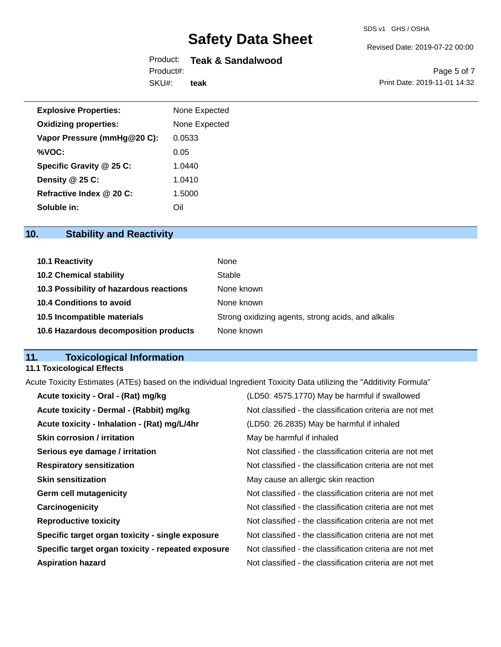#### Revised Date: 2019-07-22 00:00

# Product: **Teak & Sandalwood**

SKU#: Product#: **teak**

Page 5 of 7 Print Date: 2019-11-01 14:32

| <b>Explosive Properties:</b> | None Expected |
|------------------------------|---------------|
| <b>Oxidizing properties:</b> | None Expected |
| Vapor Pressure (mmHg@20 C):  | 0.0533        |
| %VOC:                        | 0.05          |
| Specific Gravity @ 25 C:     | 1.0440        |
| Density @ 25 C:              | 1.0410        |
| Refractive Index @ 20 C:     | 1.5000        |
| Soluble in:                  | Oil           |

# **10. Stability and Reactivity**

| 10.1 Reactivity                         | None                                               |
|-----------------------------------------|----------------------------------------------------|
| <b>10.2 Chemical stability</b>          | Stable                                             |
| 10.3 Possibility of hazardous reactions | None known                                         |
| 10.4 Conditions to avoid                | None known                                         |
| 10.5 Incompatible materials             | Strong oxidizing agents, strong acids, and alkalis |
| 10.6 Hazardous decomposition products   | None known                                         |

# **11. Toxicological Information**

### **11.1 Toxicological Effects**

Acute Toxicity Estimates (ATEs) based on the individual Ingredient Toxicity Data utilizing the "Additivity Formula"

| Acute toxicity - Oral - (Rat) mg/kg                | (LD50: 4575.1770) May be harmful if swallowed            |
|----------------------------------------------------|----------------------------------------------------------|
| Acute toxicity - Dermal - (Rabbit) mg/kg           | Not classified - the classification criteria are not met |
| Acute toxicity - Inhalation - (Rat) mg/L/4hr       | (LD50: 26.2835) May be harmful if inhaled                |
| <b>Skin corrosion / irritation</b>                 | May be harmful if inhaled                                |
| Serious eye damage / irritation                    | Not classified - the classification criteria are not met |
| <b>Respiratory sensitization</b>                   | Not classified - the classification criteria are not met |
| <b>Skin sensitization</b>                          | May cause an allergic skin reaction                      |
| <b>Germ cell mutagenicity</b>                      | Not classified - the classification criteria are not met |
| Carcinogenicity                                    | Not classified - the classification criteria are not met |
| <b>Reproductive toxicity</b>                       | Not classified - the classification criteria are not met |
| Specific target organ toxicity - single exposure   | Not classified - the classification criteria are not met |
| Specific target organ toxicity - repeated exposure | Not classified - the classification criteria are not met |
| <b>Aspiration hazard</b>                           | Not classified - the classification criteria are not met |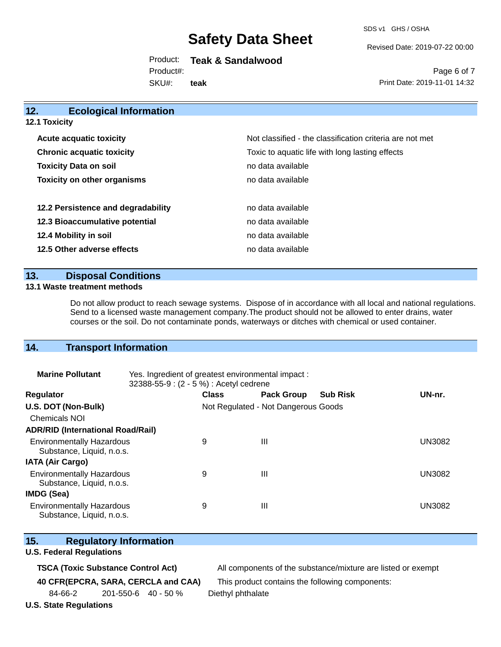SDS v1 GHS / OSHA

Revised Date: 2019-07-22 00:00

Product: **Teak & Sandalwood** Product#:

SKU#: **teak**

Page 6 of 7 Print Date: 2019-11-01 14:32

| 12.                   | <b>Ecological Information</b>      |                                                          |
|-----------------------|------------------------------------|----------------------------------------------------------|
| <b>12.1 Toxicity</b>  |                                    |                                                          |
|                       | <b>Acute acquatic toxicity</b>     | Not classified - the classification criteria are not met |
|                       | <b>Chronic acquatic toxicity</b>   | Toxic to aquatic life with long lasting effects          |
|                       | <b>Toxicity Data on soil</b>       | no data available                                        |
|                       | <b>Toxicity on other organisms</b> | no data available                                        |
|                       | 12.2 Persistence and degradability | no data available                                        |
|                       | 12.3 Bioaccumulative potential     | no data available                                        |
| 12.4 Mobility in soil |                                    | no data available                                        |
|                       | 12.5 Other adverse effects         | no data available                                        |

#### **13. Disposal Conditions**

#### **13.1 Waste treatment methods**

Do not allow product to reach sewage systems. Dispose of in accordance with all local and national regulations. Send to a licensed waste management company.The product should not be allowed to enter drains, water courses or the soil. Do not contaminate ponds, waterways or ditches with chemical or used container.

#### **14. Transport Information**

| <b>Marine Pollutant</b>                                       | Yes. Ingredient of greatest environmental impact:<br>32388-55-9 : (2 - 5 %) : Acetyl cedrene |              |                                     |                 |               |
|---------------------------------------------------------------|----------------------------------------------------------------------------------------------|--------------|-------------------------------------|-----------------|---------------|
| <b>Regulator</b>                                              |                                                                                              | <b>Class</b> | <b>Pack Group</b>                   | <b>Sub Risk</b> | UN-nr.        |
| U.S. DOT (Non-Bulk)                                           |                                                                                              |              | Not Regulated - Not Dangerous Goods |                 |               |
| <b>Chemicals NOI</b>                                          |                                                                                              |              |                                     |                 |               |
| <b>ADR/RID (International Road/Rail)</b>                      |                                                                                              |              |                                     |                 |               |
| <b>Environmentally Hazardous</b><br>Substance, Liquid, n.o.s. |                                                                                              | 9            | Ш                                   |                 | <b>UN3082</b> |
| <b>IATA (Air Cargo)</b>                                       |                                                                                              |              |                                     |                 |               |
| <b>Environmentally Hazardous</b><br>Substance, Liquid, n.o.s. |                                                                                              | 9            | Ш                                   |                 | <b>UN3082</b> |
| IMDG (Sea)                                                    |                                                                                              |              |                                     |                 |               |
| <b>Environmentally Hazardous</b><br>Substance, Liquid, n.o.s. |                                                                                              | 9            | Ш                                   |                 | UN3082        |

|  | 15. | <b>Regulatory Information</b> |
|--|-----|-------------------------------|
|--|-----|-------------------------------|

#### **U.S. Federal Regulations**

**TSCA (Toxic Substance Control Act)** All components of the substance/mixture are listed or exempt

**40 CFR(EPCRA, SARA, CERCLA and CAA)** This product contains the following components:

84-66-2 201-550-6 40 - 50 % Diethyl phthalate

**U.S. State Regulations**